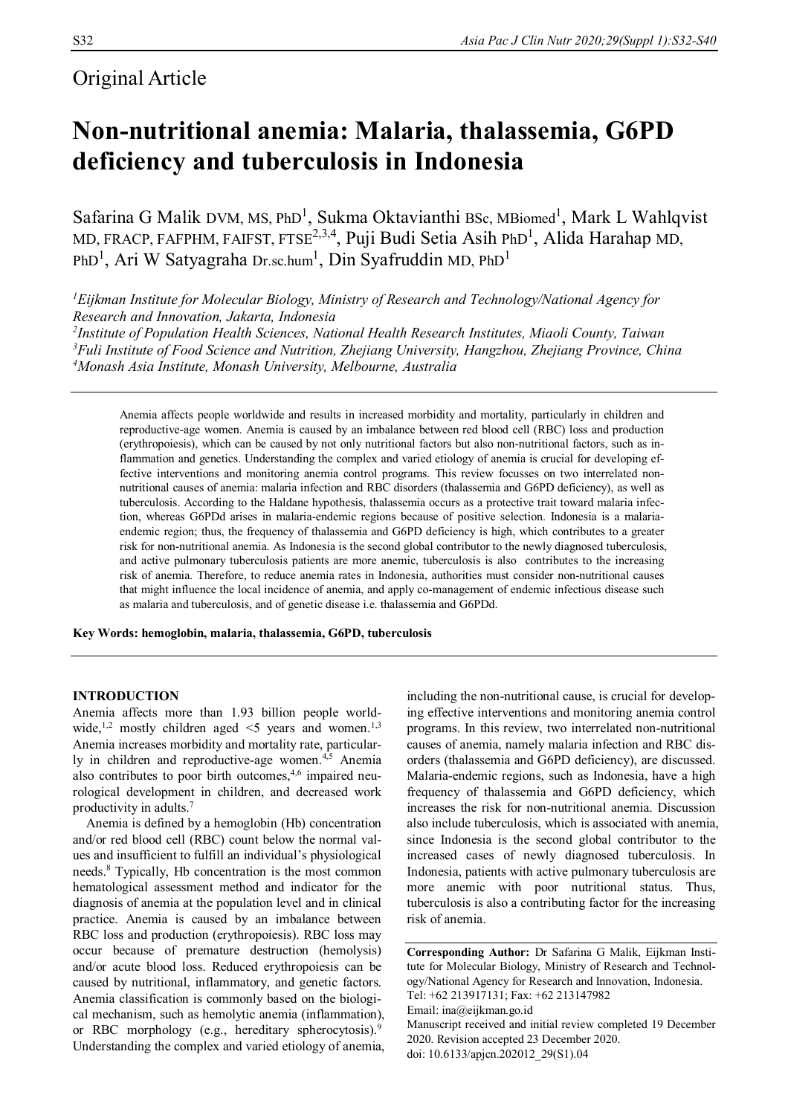# Original Article

# **Non-nutritional anemia: Malaria, thalassemia, G6PD deficiency and tuberculosis in Indonesia**

Safarina G Malik DVM, MS, PhD<sup>1</sup>, Sukma Oktavianthi BSc, MBiomed<sup>1</sup>, Mark L Wahlqvist MD, FRACP, FAFPHM, FAIFST, FTSE<sup>2,3,4</sup>, Puji Budi Setia Asih PhD<sup>1</sup>, Alida Harahap MD, PhD<sup>1</sup>, Ari W Satyagraha Dr.sc.hum<sup>1</sup>, Din Syafruddin MD, PhD<sup>1</sup>

*Eijkman Institute for Molecular Biology, Ministry of Research and Technology/National Agency for Research and Innovation, Jakarta, Indonesia Institute of Population Health Sciences, National Health Research Institutes, Miaoli County, Taiwan Fuli Institute of Food Science and Nutrition, Zhejiang University, Hangzhou, Zhejiang Province, China Monash Asia Institute, Monash University, Melbourne, Australia*

Anemia affects people worldwide and results in increased morbidity and mortality, particularly in children and reproductive-age women. Anemia is caused by an imbalance between red blood cell (RBC) loss and production (erythropoiesis), which can be caused by not only nutritional factors but also non-nutritional factors, such as inflammation and genetics. Understanding the complex and varied etiology of anemia is crucial for developing effective interventions and monitoring anemia control programs. This review focusses on two interrelated nonnutritional causes of anemia: malaria infection and RBC disorders (thalassemia and G6PD deficiency), as well as tuberculosis. According to the Haldane hypothesis, thalassemia occurs as a protective trait toward malaria infection, whereas G6PDd arises in malaria-endemic regions because of positive selection. Indonesia is a malariaendemic region; thus, the frequency of thalassemia and G6PD deficiency is high, which contributes to a greater risk for non-nutritional anemia. As Indonesia is the second global contributor to the newly diagnosed tuberculosis, and active pulmonary tuberculosis patients are more anemic, tuberculosis is also contributes to the increasing risk of anemia. Therefore, to reduce anemia rates in Indonesia, authorities must consider non-nutritional causes that might influence the local incidence of anemia, and apply co-management of endemic infectious disease such as malaria and tuberculosis, and of genetic disease i.e. thalassemia and G6PDd.

**Key Words: hemoglobin, malaria, thalassemia, G6PD, tuberculosis**

# **INTRODUCTION**

Anemia affects more than 1.93 billion people worldwide,<sup>1,2</sup> mostly children aged  $\leq$ 5 years and women.<sup>1,3</sup> Anemia increases morbidity and mortality rate, particularly in children and reproductive-age women. $4,5$  Anemia also contributes to poor birth outcomes, $4,6$  impaired neurological development in children, and decreased work productivity in adults.<sup>7</sup>

Anemia is defined by a hemoglobin (Hb) concentration and/or red blood cell (RBC) count below the normal values and insufficient to fulfill an individual's physiological needs.<sup>8</sup> Typically, Hb concentration is the most common hematological assessment method and indicator for the diagnosis of anemia at the population level and in clinical practice. Anemia is caused by an imbalance between RBC loss and production (erythropoiesis). RBC loss may occur because of premature destruction (hemolysis) and/or acute blood loss. Reduced erythropoiesis can be caused by nutritional, inflammatory, and genetic factors. Anemia classification is commonly based on the biological mechanism, such as hemolytic anemia (inflammation), or RBC morphology (e.g., hereditary spherocytosis).<sup>9</sup> Understanding the complex and varied etiology of anemia,

including the non-nutritional cause, is crucial for developing effective interventions and monitoring anemia control programs. In this review, two interrelated non-nutritional causes of anemia, namely malaria infection and RBC disorders (thalassemia and G6PD deficiency), are discussed. Malaria-endemic regions, such as Indonesia, have a high frequency of thalassemia and G6PD deficiency, which increases the risk for non-nutritional anemia. Discussion also include tuberculosis, which is associated with anemia, since Indonesia is the second global contributor to the increased cases of newly diagnosed tuberculosis. In Indonesia, patients with active pulmonary tuberculosis are more anemic with poor nutritional status. Thus, tuberculosis is also a contributing factor for the increasing risk of anemia.

**Corresponding Author:** Dr Safarina G Malik, Eijkman Institute for Molecular Biology, Ministry of Research and Technology/National Agency for Research and Innovation, Indonesia. Tel: +62 213917131; Fax: +62 213147982 Email: ina@eijkman.go.id Manuscript received and initial review completed 19 December 2020. Revision accepted 23 December 2020. doi: 10.6133/apjcn.202012\_29(S1).04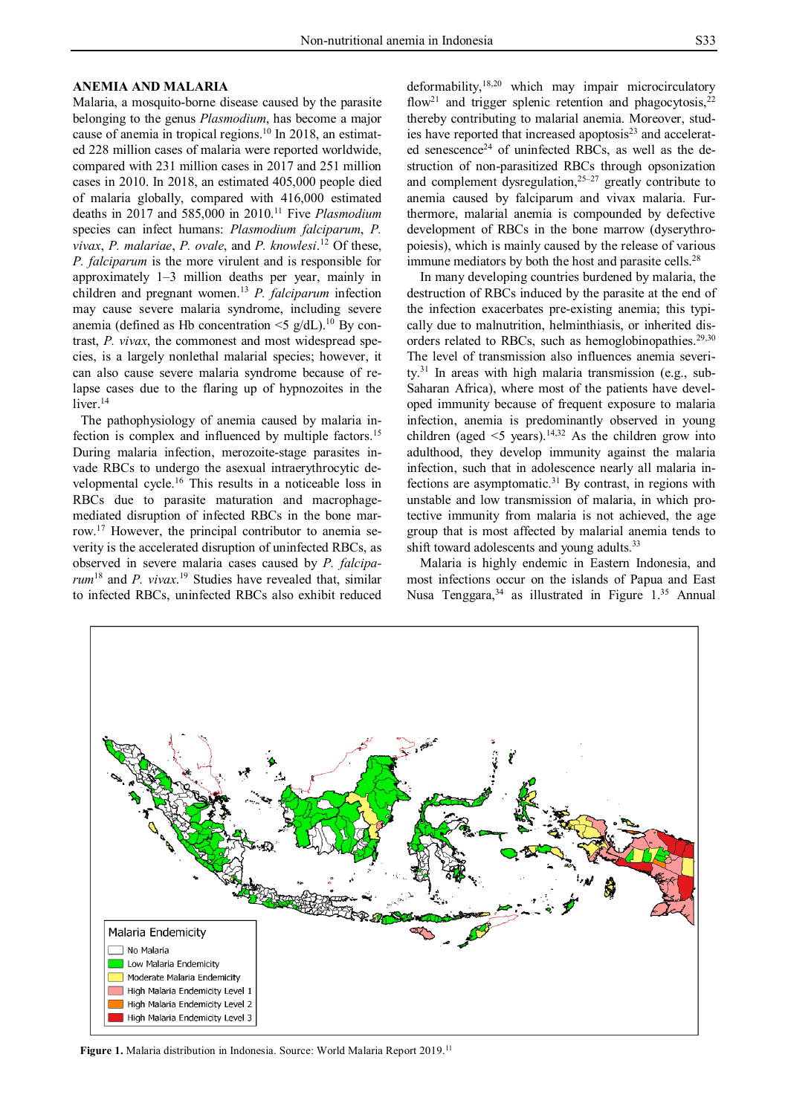# **ANEMIA AND MALARIA**

Malaria, a mosquito-borne disease caused by the parasite belonging to the genus *Plasmodium*, has become a major cause of anemia in tropical regions.<sup>10</sup> In 2018, an estimated 228 million cases of malaria were reported worldwide, compared with 231 million cases in 2017 and 251 million cases in 2010. In 2018, an estimated 405,000 people died of malaria globally, compared with 416,000 estimated deaths in 2017 and 585,000 in 2010.<sup>11</sup> Five *Plasmodium* species can infect humans: *Plasmodium falciparum*, *P. vivax*, *P. malariae*, *P. ovale*, and *P. knowlesi*. <sup>12</sup> Of these, *P. falciparum* is the more virulent and is responsible for approximately 1–3 million deaths per year, mainly in children and pregnant women.<sup>13</sup> *P. falciparum* infection may cause severe malaria syndrome, including severe anemia (defined as Hb concentration  $\leq$  g/dL).<sup>10</sup> By contrast, *P. vivax*, the commonest and most widespread species, is a largely nonlethal malarial species; however, it can also cause severe malaria syndrome because of relapse cases due to the flaring up of hypnozoites in the liver.<sup>14</sup>

The pathophysiology of anemia caused by malaria infection is complex and influenced by multiple factors.<sup>15</sup> During malaria infection, merozoite-stage parasites invade RBCs to undergo the asexual intraerythrocytic developmental cycle.<sup>16</sup> This results in a noticeable loss in RBCs due to parasite maturation and macrophagemediated disruption of infected RBCs in the bone marrow.<sup>17</sup> However, the principal contributor to anemia severity is the accelerated disruption of uninfected RBCs, as observed in severe malaria cases caused by *P. falciparum*<sup>18</sup> and *P. vivax*. <sup>19</sup> Studies have revealed that, similar to infected RBCs, uninfected RBCs also exhibit reduced

deformability,18,20 which may impair microcirculatory flow<sup>21</sup> and trigger splenic retention and phagocytosis,<sup>2</sup> thereby contributing to malarial anemia. Moreover, studies have reported that increased apoptosis<sup>23</sup> and accelerated senescence<sup>24</sup> of uninfected RBCs, as well as the destruction of non-parasitized RBCs through opsonization and complement dysregulation,<sup>25–27</sup> greatly contribute to anemia caused by falciparum and vivax malaria. Furthermore, malarial anemia is compounded by defective development of RBCs in the bone marrow (dyserythropoiesis), which is mainly caused by the release of various immune mediators by both the host and parasite cells.<sup>28</sup>

In many developing countries burdened by malaria, the destruction of RBCs induced by the parasite at the end of the infection exacerbates pre-existing anemia; this typically due to malnutrition, helminthiasis, or inherited disorders related to RBCs, such as hemoglobinopathies.<sup>29,30</sup> The level of transmission also influences anemia severity. <sup>31</sup> In areas with high malaria transmission (e.g., sub-Saharan Africa), where most of the patients have developed immunity because of frequent exposure to malaria infection, anemia is predominantly observed in young children (aged  $\leq$ 5 years).<sup>14,32</sup> As the children grow into adulthood, they develop immunity against the malaria infection, such that in adolescence nearly all malaria infections are asymptomatic. $31$  By contrast, in regions with unstable and low transmission of malaria, in which protective immunity from malaria is not achieved, the age group that is most affected by malarial anemia tends to shift toward adolescents and young adults.<sup>33</sup>

Malaria is highly endemic in Eastern Indonesia, and most infections occur on the islands of Papua and East Nusa Tenggara,<sup>34</sup> as illustrated in Figure 1.<sup>35</sup> Annual



**Figure 1.** Malaria distribution in Indonesia. Source: World Malaria Report 2019.<sup>11</sup>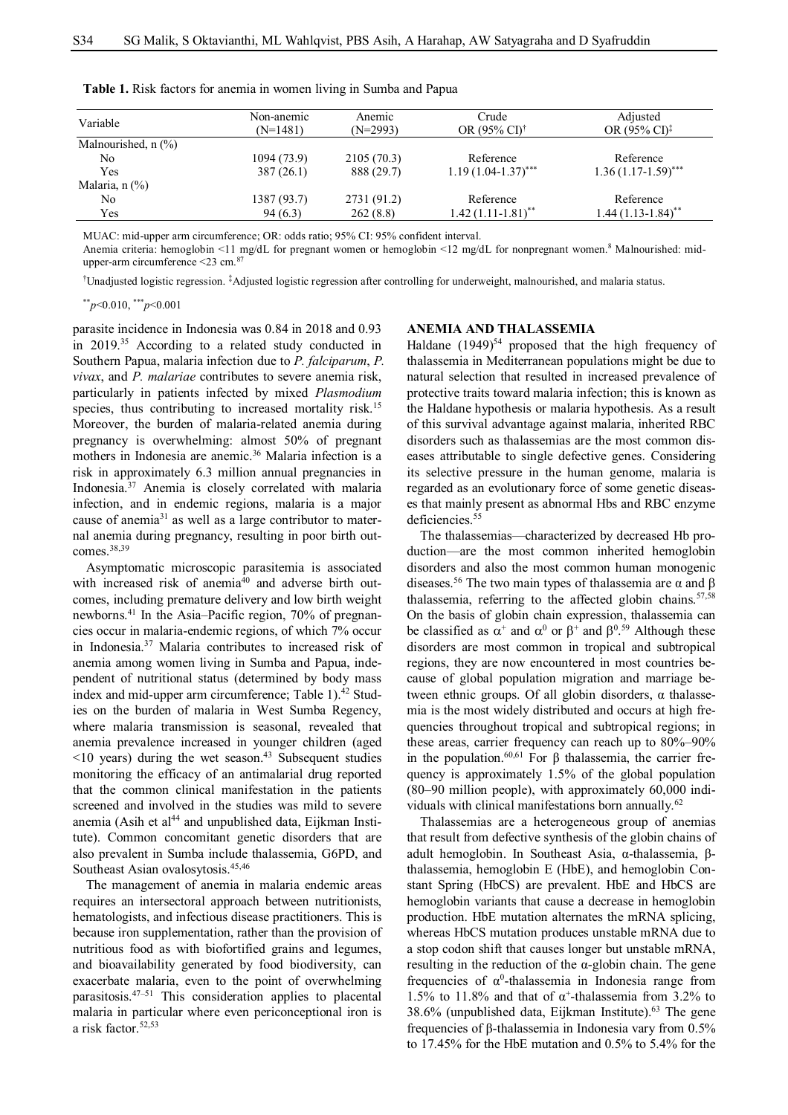| Variable                 | Non-anemic<br>$(N=1481)$ | Anemic<br>$(N=2993)$ | Crude<br>OR $(95\% \text{ C}^{\dagger})^{\dagger}$ | Adjusted<br>OR $(95\% \text{ CI})^{\ddagger}$ |
|--------------------------|--------------------------|----------------------|----------------------------------------------------|-----------------------------------------------|
| Malnourished, $n$ $(\%)$ |                          |                      |                                                    |                                               |
| No                       | 1094 (73.9)              | 2105(70.3)           | Reference                                          | Reference                                     |
| Yes                      | 387 (26.1)               | 888 (29.7)           | $1.19(1.04-1.37)$ ***                              | $1.36(1.17-1.59)$ ***                         |
| Malaria, n (%)           |                          |                      |                                                    |                                               |
| No                       | 1387 (93.7)              | 2731 (91.2)          | Reference                                          | Reference                                     |
| Yes                      | 94(6.3)                  | 262(8.8)             | $1.42(1.11-1.81)$ <sup>**</sup>                    | $1.44(1.13-1.84)$ **                          |

**Table 1.** Risk factors for anemia in women living in Sumba and Papua

MUAC: mid-upper arm circumference; OR: odds ratio; 95% CI: 95% confident interval.

Anemia criteria: hemoglobin <11 mg/dL for pregnant women or hemoglobin <12 mg/dL for nonpregnant women.<sup>8</sup> Malnourished: midupper-arm circumference  $\leq$ 23 cm. $\frac{87}{3}$ 

†Unadjusted logistic regression. ‡Adjusted logistic regression after controlling for underweight, malnourished, and malaria status.

\*\**p*<0.010, \*\*\**p*<0.001

parasite incidence in Indonesia was 0.84 in 2018 and 0.93 in 2019.<sup>35</sup> According to a related study conducted in Southern Papua, malaria infection due to *P. falciparum*, *P. vivax*, and *P. malariae* contributes to severe anemia risk, particularly in patients infected by mixed *Plasmodium* species, thus contributing to increased mortality risk.<sup>15</sup> Moreover, the burden of malaria-related anemia during pregnancy is overwhelming: almost 50% of pregnant mothers in Indonesia are anemic.<sup>36</sup> Malaria infection is a risk in approximately 6.3 million annual pregnancies in Indonesia.<sup>37</sup> Anemia is closely correlated with malaria infection, and in endemic regions, malaria is a major cause of anemia<sup>31</sup> as well as a large contributor to maternal anemia during pregnancy, resulting in poor birth outcomes.38,39

Asymptomatic microscopic parasitemia is associated with increased risk of anemia<sup>40</sup> and adverse birth outcomes, including premature delivery and low birth weight newborns.<sup>41</sup> In the Asia–Pacific region, 70% of pregnancies occur in malaria-endemic regions, of which 7% occur in Indonesia.<sup>37</sup> Malaria contributes to increased risk of anemia among women living in Sumba and Papua, independent of nutritional status (determined by body mass index and mid-upper arm circumference; Table  $1$ ).<sup>42</sup> Studies on the burden of malaria in West Sumba Regency, where malaria transmission is seasonal, revealed that anemia prevalence increased in younger children (aged  $\leq 10$  years) during the wet season.<sup>43</sup> Subsequent studies monitoring the efficacy of an antimalarial drug reported that the common clinical manifestation in the patients screened and involved in the studies was mild to severe anemia (Asih et al $^{44}$  and unpublished data, Eijkman Institute). Common concomitant genetic disorders that are also prevalent in Sumba include thalassemia, G6PD, and Southeast Asian ovalosytosis.<sup>45,46</sup>

The management of anemia in malaria endemic areas requires an intersectoral approach between nutritionists, hematologists, and infectious disease practitioners. This is because iron supplementation, rather than the provision of nutritious food as with biofortified grains and legumes, and bioavailability generated by food biodiversity, can exacerbate malaria, even to the point of overwhelming parasitosis.47–51 This consideration applies to placental malaria in particular where even periconceptional iron is a risk factor.52,53

# **ANEMIA AND THALASSEMIA**

Haldane (1949)<sup>54</sup> proposed that the high frequency of thalassemia in Mediterranean populations might be due to natural selection that resulted in increased prevalence of protective traits toward malaria infection; this is known as the Haldane hypothesis or malaria hypothesis. As a result of this survival advantage against malaria, inherited RBC disorders such as thalassemias are the most common diseases attributable to single defective genes. Considering its selective pressure in the human genome, malaria is regarded as an evolutionary force of some genetic diseases that mainly present as abnormal Hbs and RBC enzyme deficiencies.<sup>55</sup>

The thalassemias—characterized by decreased Hb production—are the most common inherited hemoglobin disorders and also the most common human monogenic diseases.<sup>56</sup> The two main types of thalassemia are  $\alpha$  and  $\beta$ thalassemia, referring to the affected globin chains. $57,58$ On the basis of globin chain expression, thalassemia can be classified as  $\alpha^+$  and  $\alpha^0$  or  $\beta^+$  and  $\beta^{0.59}$  Although these disorders are most common in tropical and subtropical regions, they are now encountered in most countries because of global population migration and marriage between ethnic groups. Of all globin disorders, α thalassemia is the most widely distributed and occurs at high frequencies throughout tropical and subtropical regions; in these areas, carrier frequency can reach up to 80%–90% in the population.<sup>60,61</sup> For β thalassemia, the carrier frequency is approximately 1.5% of the global population (80–90 million people), with approximately 60,000 individuals with clinical manifestations born annually.<sup>62</sup>

Thalassemias are a heterogeneous group of anemias that result from defective synthesis of the globin chains of adult hemoglobin. In Southeast Asia, α-thalassemia, βthalassemia, hemoglobin E (HbE), and hemoglobin Constant Spring (HbCS) are prevalent. HbE and HbCS are hemoglobin variants that cause a decrease in hemoglobin production. HbE mutation alternates the mRNA splicing, whereas HbCS mutation produces unstable mRNA due to a stop codon shift that causes longer but unstable mRNA, resulting in the reduction of the α-globin chain. The gene frequencies of  $\alpha^0$ -thalassemia in Indonesia range from 1.5% to 11.8% and that of  $\alpha^+$ -thalassemia from 3.2% to 38.6% (unpublished data, Eijkman Institute).<sup>63</sup> The gene frequencies of β-thalassemia in Indonesia vary from 0.5% to 17.45% for the HbE mutation and 0.5% to 5.4% for the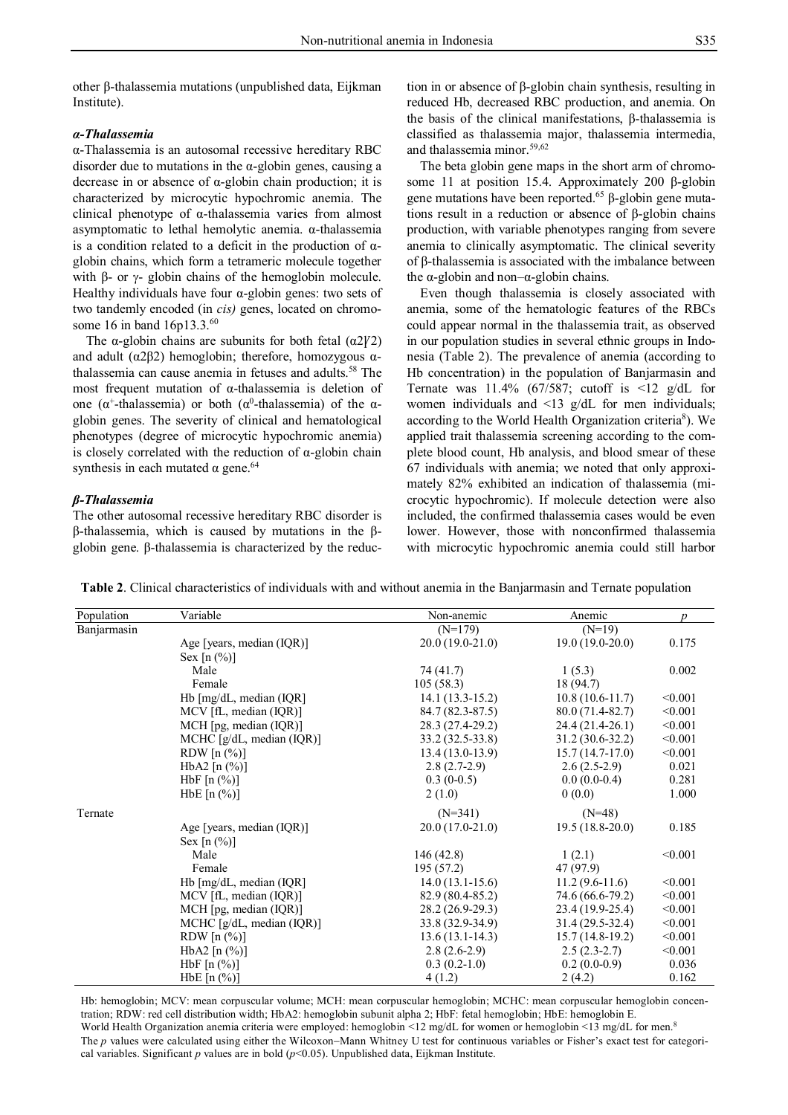other β-thalassemia mutations (unpublished data, Eijkman Institute).

#### *α-Thalassemia*

α-Thalassemia is an autosomal recessive hereditary RBC disorder due to mutations in the  $\alpha$ -globin genes, causing a decrease in or absence of α-globin chain production; it is characterized by microcytic hypochromic anemia. The clinical phenotype of α-thalassemia varies from almost asymptomatic to lethal hemolytic anemia. α-thalassemia is a condition related to a deficit in the production of αglobin chains, which form a tetrameric molecule together with β- or  $γ$ - globin chains of the hemoglobin molecule. Healthy individuals have four  $\alpha$ -globin genes: two sets of two tandemly encoded (in *cis)* genes, located on chromosome 16 in band 16p13.3.<sup>60</sup>

The  $\alpha$ -globin chains are subunits for both fetal ( $\alpha$ 2 $\gamma$ 2) and adult ( $\alpha$ 2 $\beta$ 2) hemoglobin; therefore, homozygous  $\alpha$ thalassemia can cause anemia in fetuses and adults.<sup>58</sup> The most frequent mutation of α-thalassemia is deletion of one ( $\alpha^+$ -thalassemia) or both ( $\alpha^0$ -thalassemia) of the  $\alpha$ globin genes. The severity of clinical and hematological phenotypes (degree of microcytic hypochromic anemia) is closely correlated with the reduction of α-globin chain synthesis in each mutated  $α$  gene.<sup>64</sup>

### *β-Thalassemia*

The other autosomal recessive hereditary RBC disorder is β-thalassemia, which is caused by mutations in the βglobin gene. β-thalassemia is characterized by the reduction in or absence of β-globin chain synthesis, resulting in reduced Hb, decreased RBC production, and anemia. On the basis of the clinical manifestations, β-thalassemia is classified as thalassemia major, thalassemia intermedia, and thalassemia minor.59,62

The beta globin gene maps in the short arm of chromosome 11 at position 15.4. Approximately 200 β-globin gene mutations have been reported.<sup>65</sup> β-globin gene mutations result in a reduction or absence of β-globin chains production, with variable phenotypes ranging from severe anemia to clinically asymptomatic. The clinical severity of β-thalassemia is associated with the imbalance between the α-globin and non– $α$ -globin chains.

Even though thalassemia is closely associated with anemia, some of the hematologic features of the RBCs could appear normal in the thalassemia trait, as observed in our population studies in several ethnic groups in Indonesia (Table 2). The prevalence of anemia (according to Hb concentration) in the population of Banjarmasin and Ternate was 11.4% (67/587; cutoff is  $\leq 12$  g/dL for women individuals and <13 g/dL for men individuals; according to the World Health Organization criteria<sup>8</sup>). We applied trait thalassemia screening according to the complete blood count, Hb analysis, and blood smear of these 67 individuals with anemia; we noted that only approximately 82% exhibited an indication of thalassemia (microcytic hypochromic). If molecule detection were also included, the confirmed thalassemia cases would be even lower. However, those with nonconfirmed thalassemia with microcytic hypochromic anemia could still harbor

**Table 2**. Clinical characteristics of individuals with and without anemia in the Banjarmasin and Ternate population

| Population  | Variable                           | Non-anemic        | Anemic            | $\boldsymbol{p}$ |
|-------------|------------------------------------|-------------------|-------------------|------------------|
| Banjarmasin |                                    | $(N=179)$         | $(N=19)$          |                  |
|             | Age [years, median (IQR)]          | $20.0(19.0-21.0)$ | $19.0(19.0-20.0)$ | 0.175            |
|             | Sex $[n (%)]$                      |                   |                   |                  |
|             | Male                               | 74 (41.7)         | 1(5.3)            | 0.002            |
|             | Female                             | 105(58.3)         | 18 (94.7)         |                  |
|             | Hb $[mg/dL, \text{median (IQR)}]$  | $14.1(13.3-15.2)$ | $10.8(10.6-11.7)$ | < 0.001          |
|             | MCV [fL, median (IQR)]             | 84.7 (82.3-87.5)  | $80.0(71.4-82.7)$ | < 0.001          |
|             | $MCH$ [pg, median (IQR)]           | 28.3 (27.4-29.2)  | $24.4(21.4-26.1)$ | < 0.001          |
|             | MCHC [g/dL, median (IQR)]          | $33.2(32.5-33.8)$ | $31.2(30.6-32.2)$ | < 0.001          |
|             | RDW $[n \left( % \right)]$         | $13.4(13.0-13.9)$ | $15.7(14.7-17.0)$ | < 0.001          |
|             | HbA2 $[n (%)]$                     | $2.8(2.7-2.9)$    | $2.6(2.5-2.9)$    | 0.021            |
|             | HbF $[n \, (\%)]$                  | $0.3(0-0.5)$      | $0.0(0.0-0.4)$    | 0.281            |
|             | $HbE$ [n $(\%)$ ]                  | 2(1.0)            | 0(0.0)            | 1.000            |
| Ternate     |                                    | $(N=341)$         | $(N=48)$          |                  |
|             | Age [years, median $(IQR)$ ]       | $20.0(17.0-21.0)$ | $19.5(18.8-20.0)$ | 0.185            |
|             | Sex $[n (%)]$                      |                   |                   |                  |
|             | Male                               | 146(42.8)         | 1(2.1)            | < 0.001          |
|             | Female                             | 195(57.2)         | 47 (97.9)         |                  |
|             | Hb $[mg/dL, \text{median (IQR)}]$  | $14.0(13.1-15.6)$ | $11.2(9.6-11.6)$  | < 0.001          |
|             | MCV [fL, median (IQR)]             | 82.9 (80.4-85.2)  | 74.6 (66.6-79.2)  | < 0.001          |
|             | $MCH$ [pg, median (IQR)]           | 28.2 (26.9-29.3)  | 23.4 (19.9-25.4)  | < 0.001          |
|             | MCHC $[g/dL, \text{median (IQR)}]$ | 33.8 (32.9-34.9)  | $31.4(29.5-32.4)$ | < 0.001          |
|             | RDW $[n \ (\%)]$                   | $13.6(13.1-14.3)$ | $15.7(14.8-19.2)$ | < 0.001          |
|             | HbA2 $[n (%)]$                     | $2.8(2.6-2.9)$    | $2.5(2.3-2.7)$    | < 0.001          |
|             | $HbF[n(\%)]$                       | $0.3(0.2-1.0)$    | $0.2(0.0-0.9)$    | 0.036            |
|             | $HbE$ [n $(\%)$ ]                  | 4(1.2)            | 2(4.2)            | 0.162            |

Hb: hemoglobin; MCV: mean corpuscular volume; MCH: mean corpuscular hemoglobin; MCHC: mean corpuscular hemoglobin concentration; RDW: red cell distribution width; HbA2: hemoglobin subunit alpha 2; HbF: fetal hemoglobin; HbE: hemoglobin E. World Health Organization anemia criteria were employed: hemoglobin <12 mg/dL for women or hemoglobin <13 mg/dL for men.<sup>8</sup> The *p* values were calculated using either the Wilcoxon–Mann Whitney U test for continuous variables or Fisher's exact test for categorical variables. Significant *p* values are in bold  $(p<0.05)$ . Unpublished data, Eijkman Institute.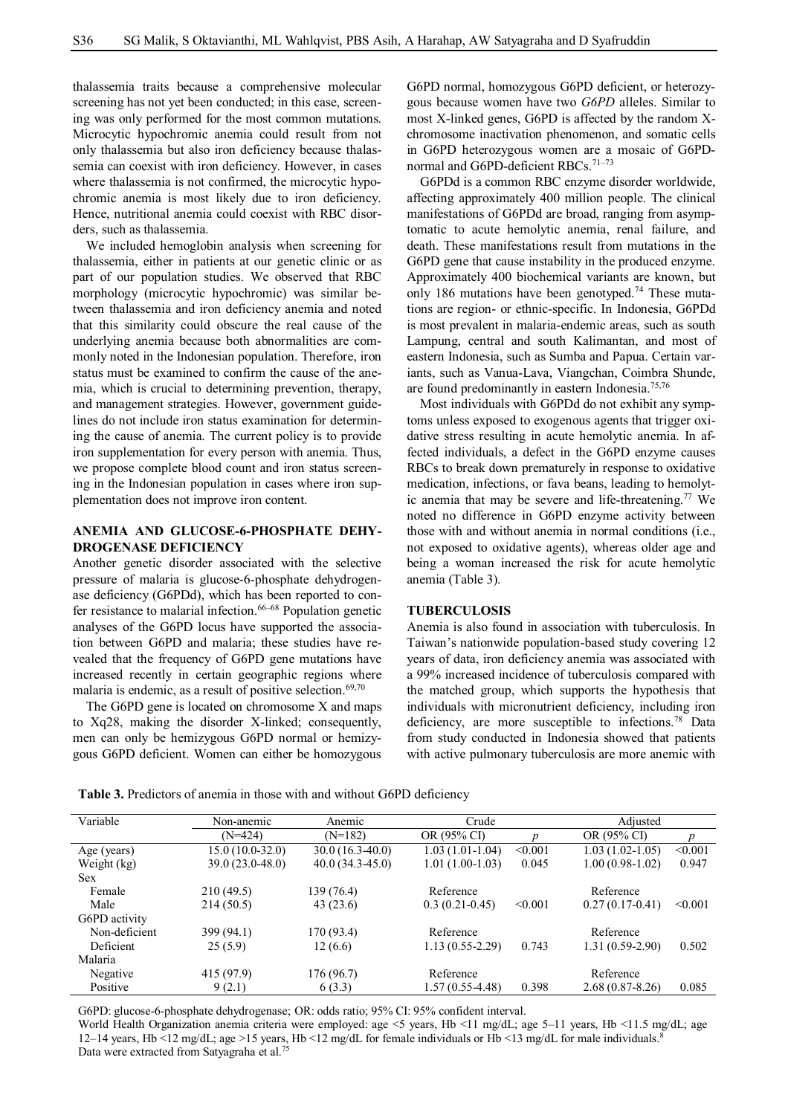thalassemia traits because a comprehensive molecular screening has not yet been conducted; in this case, screening was only performed for the most common mutations. Microcytic hypochromic anemia could result from not only thalassemia but also iron deficiency because thalassemia can coexist with iron deficiency. However, in cases where thalassemia is not confirmed, the microcytic hypochromic anemia is most likely due to iron deficiency. Hence, nutritional anemia could coexist with RBC disorders, such as thalassemia.

We included hemoglobin analysis when screening for thalassemia, either in patients at our genetic clinic or as part of our population studies. We observed that RBC morphology (microcytic hypochromic) was similar between thalassemia and iron deficiency anemia and noted that this similarity could obscure the real cause of the underlying anemia because both abnormalities are commonly noted in the Indonesian population. Therefore, iron status must be examined to confirm the cause of the anemia, which is crucial to determining prevention, therapy, and management strategies. However, government guidelines do not include iron status examination for determining the cause of anemia. The current policy is to provide iron supplementation for every person with anemia. Thus, we propose complete blood count and iron status screening in the Indonesian population in cases where iron supplementation does not improve iron content.

# **ANEMIA AND GLUCOSE-6-PHOSPHATE DEHY-DROGENASE DEFICIENCY**

Another genetic disorder associated with the selective pressure of malaria is glucose-6-phosphate dehydrogenase deficiency (G6PDd), which has been reported to confer resistance to malarial infection.<sup>66–68</sup> Population genetic analyses of the G6PD locus have supported the association between G6PD and malaria; these studies have revealed that the frequency of G6PD gene mutations have increased recently in certain geographic regions where malaria is endemic, as a result of positive selection. $69,70$ 

The G6PD gene is located on chromosome X and maps to Xq28, making the disorder X-linked; consequently, men can only be hemizygous G6PD normal or hemizygous G6PD deficient. Women can either be homozygous

G6PD normal, homozygous G6PD deficient, or heterozygous because women have two *G6PD* alleles. Similar to most X-linked genes, G6PD is affected by the random Xchromosome inactivation phenomenon, and somatic cells in G6PD heterozygous women are a mosaic of G6PDnormal and G6PD-deficient RBCs.<sup>71-73</sup>

G6PDd is a common RBC enzyme disorder worldwide, affecting approximately 400 million people. The clinical manifestations of G6PDd are broad, ranging from asymptomatic to acute hemolytic anemia, renal failure, and death. These manifestations result from mutations in the G6PD gene that cause instability in the produced enzyme. Approximately 400 biochemical variants are known, but only 186 mutations have been genotyped.<sup>74</sup> These mutations are region- or ethnic-specific. In Indonesia, G6PDd is most prevalent in malaria-endemic areas, such as south Lampung, central and south Kalimantan, and most of eastern Indonesia, such as Sumba and Papua. Certain variants, such as Vanua-Lava, Viangchan, Coimbra Shunde, are found predominantly in eastern Indonesia.<sup>75,76</sup>

Most individuals with G6PDd do not exhibit any symptoms unless exposed to exogenous agents that trigger oxidative stress resulting in acute hemolytic anemia. In affected individuals, a defect in the G6PD enzyme causes RBCs to break down prematurely in response to oxidative medication, infections, or fava beans, leading to hemolytic anemia that may be severe and life-threatening.<sup>77</sup> We noted no difference in G6PD enzyme activity between those with and without anemia in normal conditions (i.e., not exposed to oxidative agents), whereas older age and being a woman increased the risk for acute hemolytic anemia (Table 3).

#### **TUBERCULOSIS**

Anemia is also found in association with tuberculosis. In Taiwan's nationwide population-based study covering 12 years of data, iron deficiency anemia was associated with a 99% increased incidence of tuberculosis compared with the matched group, which supports the hypothesis that individuals with micronutrient deficiency, including iron deficiency, are more susceptible to infections.<sup>78</sup> Data from study conducted in Indonesia showed that patients with active pulmonary tuberculosis are more anemic with

| <b>Table 3.</b> Predictors of anemia in those with and without G6PD deficiency |  |
|--------------------------------------------------------------------------------|--|
|--------------------------------------------------------------------------------|--|

| Variable      | Non-anemic       | Anemic            | Crude             |         | Adjusted            |         |
|---------------|------------------|-------------------|-------------------|---------|---------------------|---------|
|               | $(N=424)$        | $(N=182)$         | OR (95% CI)       |         | OR (95% CI)         |         |
| Age (years)   | 15.0 (10.0-32.0) | $30.0(16.3-40.0)$ | $1.03(1.01-1.04)$ | < 0.001 | $1.03(1.02-1.05)$   | < 0.001 |
| Weight (kg)   | 39.0 (23.0-48.0) | $40.0(34.3-45.0)$ | $1.01(1.00-1.03)$ | 0.045   | $1.00(0.98-1.02)$   | 0.947   |
| <b>Sex</b>    |                  |                   |                   |         |                     |         |
| Female        | 210(49.5)        | 139 (76.4)        | Reference         |         | Reference           |         |
| Male          | 214(50.5)        | 43(23.6)          | $0.3(0.21-0.45)$  | < 0.001 | $0.27(0.17-0.41)$   | < 0.001 |
| G6PD activity |                  |                   |                   |         |                     |         |
| Non-deficient | 399 (94.1)       | 170 (93.4)        | Reference         |         | Reference           |         |
| Deficient     | 25(5.9)          | 12(6.6)           | $1.13(0.55-2.29)$ | 0.743   | $1.31(0.59-2.90)$   | 0.502   |
| Malaria       |                  |                   |                   |         |                     |         |
| Negative      | 415 (97.9)       | 176 (96.7)        | Reference         |         | Reference           |         |
| Positive      | 9(2.1)           | 6(3.3)            | 1.57 (0.55-4.48)  | 0.398   | $2.68(0.87 - 8.26)$ | 0.085   |

G6PD: glucose-6-phosphate dehydrogenase; OR: odds ratio; 95% CI: 95% confident interval.

World Health Organization anemia criteria were employed: age <5 years, Hb <11 mg/dL; age 5–11 years, Hb <11.5 mg/dL; age 12–14 years, Hb <12 mg/dL; age >15 years, Hb <12 mg/dL for female individuals or Hb <13 mg/dL for male individuals. 8 Data were extracted from Satyagraha et al.<sup>75</sup>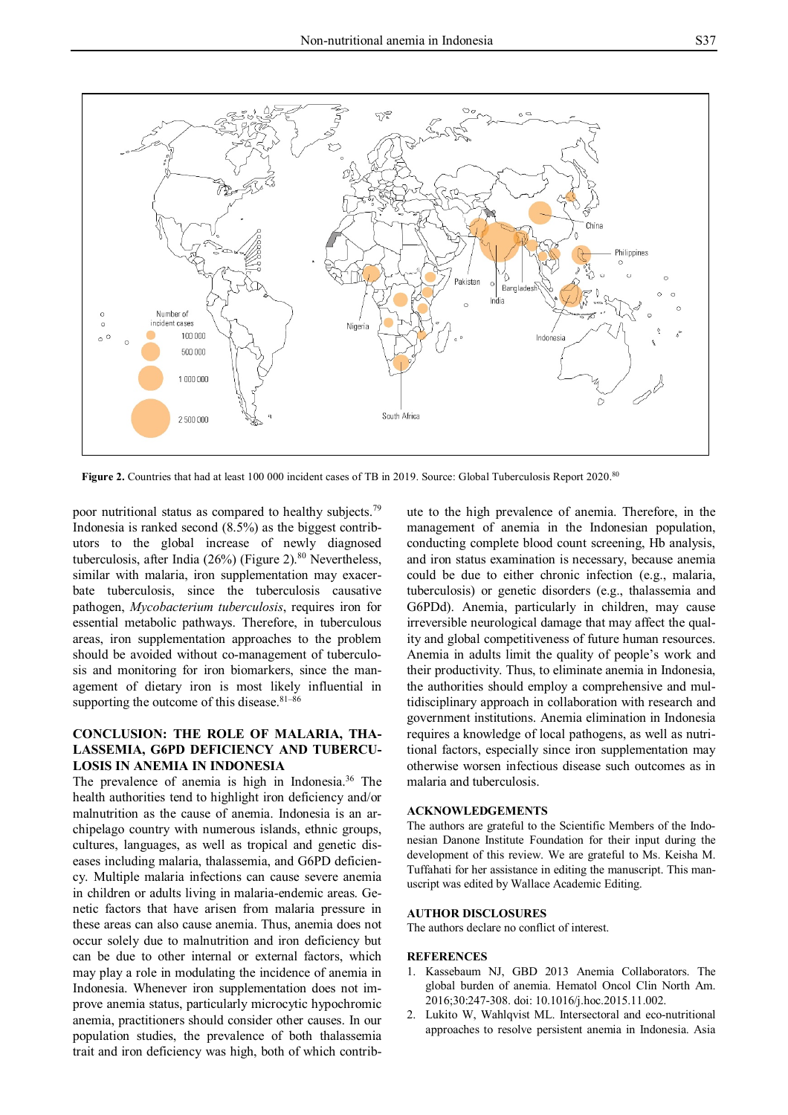

Figure 2. Countries that had at least 100 000 incident cases of TB in 2019. Source: Global Tuberculosis Report 2020.<sup>80</sup>

poor nutritional status as compared to healthy subjects.<sup>79</sup> Indonesia is ranked second (8.5%) as the biggest contributors to the global increase of newly diagnosed tuberculosis, after India (26%) (Figure 2).<sup>80</sup> Nevertheless, similar with malaria, iron supplementation may exacerbate tuberculosis, since the tuberculosis causative pathogen, *Mycobacterium tuberculosis*, requires iron for essential metabolic pathways. Therefore, in tuberculous areas, iron supplementation approaches to the problem should be avoided without co-management of tuberculosis and monitoring for iron biomarkers, since the management of dietary iron is most likely influential in supporting the outcome of this disease.<sup>81-86</sup>

# **CONCLUSION: THE ROLE OF MALARIA, THA-LASSEMIA, G6PD DEFICIENCY AND TUBERCU-LOSIS IN ANEMIA IN INDONESIA**

The prevalence of anemia is high in Indonesia.<sup>36</sup> The health authorities tend to highlight iron deficiency and/or malnutrition as the cause of anemia. Indonesia is an archipelago country with numerous islands, ethnic groups, cultures, languages, as well as tropical and genetic diseases including malaria, thalassemia, and G6PD deficiency. Multiple malaria infections can cause severe anemia in children or adults living in malaria-endemic areas. Genetic factors that have arisen from malaria pressure in these areas can also cause anemia. Thus, anemia does not occur solely due to malnutrition and iron deficiency but can be due to other internal or external factors, which may play a role in modulating the incidence of anemia in Indonesia. Whenever iron supplementation does not improve anemia status, particularly microcytic hypochromic anemia, practitioners should consider other causes. In our population studies, the prevalence of both thalassemia trait and iron deficiency was high, both of which contrib-

ute to the high prevalence of anemia. Therefore, in the management of anemia in the Indonesian population, conducting complete blood count screening, Hb analysis, and iron status examination is necessary, because anemia could be due to either chronic infection (e.g., malaria, tuberculosis) or genetic disorders (e.g., thalassemia and G6PDd). Anemia, particularly in children, may cause irreversible neurological damage that may affect the quality and global competitiveness of future human resources. Anemia in adults limit the quality of people's work and their productivity. Thus, to eliminate anemia in Indonesia, the authorities should employ a comprehensive and multidisciplinary approach in collaboration with research and government institutions. Anemia elimination in Indonesia requires a knowledge of local pathogens, as well as nutritional factors, especially since iron supplementation may otherwise worsen infectious disease such outcomes as in malaria and tuberculosis.

### **ACKNOWLEDGEMENTS**

The authors are grateful to the Scientific Members of the Indonesian Danone Institute Foundation for their input during the development of this review. We are grateful to Ms. Keisha M. Tuffahati for her assistance in editing the manuscript. This manuscript was edited by Wallace Academic Editing.

#### **AUTHOR DISCLOSURES**

The authors declare no conflict of interest.

### **REFERENCES**

- 1. Kassebaum NJ, GBD 2013 Anemia Collaborators. The global burden of anemia. Hematol Oncol Clin North Am. 2016;30:247-308. doi: 10.1016/j.hoc.2015.11.002.
- 2. Lukito W, Wahlqvist ML. Intersectoral and eco-nutritional approaches to resolve persistent anemia in Indonesia. Asia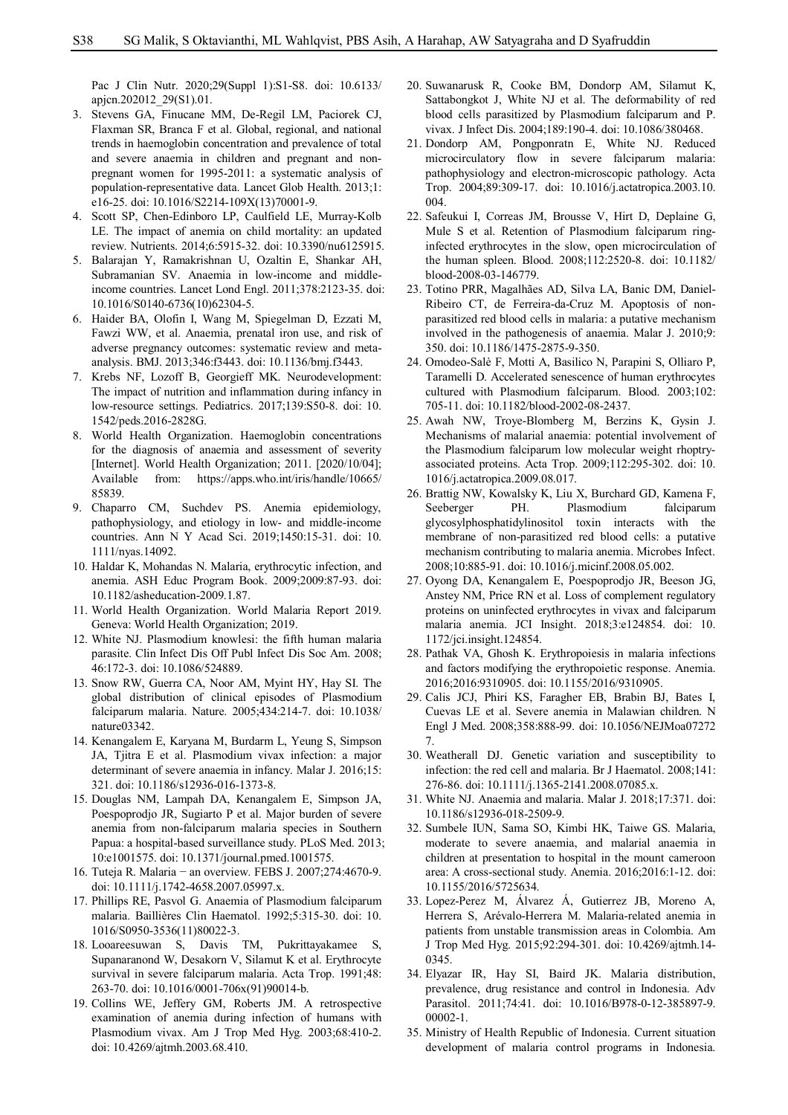Pac J Clin Nutr. 2020;29(Suppl 1):S1-S8. doi: 10.6133/ apjcn.202012\_29(S1).01.

- 3. Stevens GA, Finucane MM, De-Regil LM, Paciorek CJ, Flaxman SR, Branca F et al. Global, regional, and national trends in haemoglobin concentration and prevalence of total and severe anaemia in children and pregnant and nonpregnant women for 1995-2011: a systematic analysis of population-representative data. Lancet Glob Health. 2013;1: e16-25. doi: 10.1016/S2214-109X(13)70001-9.
- 4. Scott SP, Chen-Edinboro LP, Caulfield LE, Murray-Kolb LE. The impact of anemia on child mortality: an updated review. Nutrients. 2014;6:5915-32. doi: 10.3390/nu6125915.
- 5. Balarajan Y, Ramakrishnan U, Ozaltin E, Shankar AH, Subramanian SV. Anaemia in low-income and middleincome countries. Lancet Lond Engl. 2011;378:2123-35. doi: 10.1016/S0140-6736(10)62304-5.
- 6. Haider BA, Olofin I, Wang M, Spiegelman D, Ezzati M, Fawzi WW, et al. Anaemia, prenatal iron use, and risk of adverse pregnancy outcomes: systematic review and metaanalysis. BMJ. 2013;346:f3443. doi: 10.1136/bmj.f3443.
- 7. Krebs NF, Lozoff B, Georgieff MK. Neurodevelopment: The impact of nutrition and inflammation during infancy in low-resource settings. Pediatrics. 2017;139:S50-8. doi: 10. 1542/peds.2016-2828G.
- 8. World Health Organization. Haemoglobin concentrations for the diagnosis of anaemia and assessment of severity [Internet]. World Health Organization; 2011. [2020/10/04]; Available from: https://apps.who.int/iris/handle/10665/ 85839.
- 9. Chaparro CM, Suchdev PS. Anemia epidemiology, pathophysiology, and etiology in low- and middle-income countries. Ann N Y Acad Sci. 2019;1450:15-31. doi: 10. 1111/nyas.14092.
- 10. Haldar K, Mohandas N. Malaria, erythrocytic infection, and anemia. ASH Educ Program Book. 2009;2009:87-93. doi: 10.1182/asheducation-2009.1.87.
- 11. World Health Organization. World Malaria Report 2019. Geneva: World Health Organization; 2019.
- 12. White NJ. Plasmodium knowlesi: the fifth human malaria parasite. Clin Infect Dis Off Publ Infect Dis Soc Am. 2008; 46:172-3. doi: 10.1086/524889.
- 13. Snow RW, Guerra CA, Noor AM, Myint HY, Hay SI. The global distribution of clinical episodes of Plasmodium falciparum malaria. Nature. 2005;434:214-7. doi: 10.1038/ nature03342.
- 14. Kenangalem E, Karyana M, Burdarm L, Yeung S, Simpson JA, Tjitra E et al. Plasmodium vivax infection: a major determinant of severe anaemia in infancy. Malar J. 2016;15: 321. doi: 10.1186/s12936-016-1373-8.
- 15. Douglas NM, Lampah DA, Kenangalem E, Simpson JA, Poespoprodjo JR, Sugiarto P et al. Major burden of severe anemia from non-falciparum malaria species in Southern Papua: a hospital-based surveillance study. PLoS Med. 2013; 10:e1001575. doi: 10.1371/journal.pmed.1001575.
- 16. Tuteja R. Malaria − an overview. FEBS J. 2007;274:4670-9. doi: 10.1111/j.1742-4658.2007.05997.x.
- 17. Phillips RE, Pasvol G. Anaemia of Plasmodium falciparum malaria. Baillières Clin Haematol. 1992;5:315-30. doi: 10. 1016/S0950-3536(11)80022-3.
- 18. Looareesuwan S, Davis TM, Pukrittayakamee S, Supanaranond W, Desakorn V, Silamut K et al. Erythrocyte survival in severe falciparum malaria. Acta Trop. 1991;48: 263-70. doi: 10.1016/0001-706x(91)90014-b.
- 19. Collins WE, Jeffery GM, Roberts JM. A retrospective examination of anemia during infection of humans with Plasmodium vivax. Am J Trop Med Hyg. 2003;68:410-2. doi: 10.4269/ajtmh.2003.68.410.
- 20. Suwanarusk R, Cooke BM, Dondorp AM, Silamut K, Sattabongkot J, White NJ et al. The deformability of red blood cells parasitized by Plasmodium falciparum and P. vivax. J Infect Dis. 2004;189:190-4. doi: 10.1086/380468.
- 21. Dondorp AM, Pongponratn E, White NJ. Reduced microcirculatory flow in severe falciparum malaria: pathophysiology and electron-microscopic pathology. Acta Trop. 2004;89:309-17. doi: 10.1016/j.actatropica.2003.10. 004.
- 22. Safeukui I, Correas JM, Brousse V, Hirt D, Deplaine G, Mule S et al. Retention of Plasmodium falciparum ringinfected erythrocytes in the slow, open microcirculation of the human spleen. Blood. 2008;112:2520-8. doi: 10.1182/ blood-2008-03-146779.
- 23. Totino PRR, Magalhães AD, Silva LA, Banic DM, Daniel-Ribeiro CT, de Ferreira-da-Cruz M. Apoptosis of nonparasitized red blood cells in malaria: a putative mechanism involved in the pathogenesis of anaemia. Malar J. 2010;9: 350. doi: 10.1186/1475-2875-9-350.
- 24. Omodeo-Salè F, Motti A, Basilico N, Parapini S, Olliaro P, Taramelli D. Accelerated senescence of human erythrocytes cultured with Plasmodium falciparum. Blood. 2003;102: 705-11. doi: 10.1182/blood-2002-08-2437.
- 25. Awah NW, Troye-Blomberg M, Berzins K, Gysin J. Mechanisms of malarial anaemia: potential involvement of the Plasmodium falciparum low molecular weight rhoptryassociated proteins. Acta Trop. 2009;112:295-302. doi: 10. 1016/j.actatropica.2009.08.017.
- 26. Brattig NW, Kowalsky K, Liu X, Burchard GD, Kamena F, Seeberger PH. Plasmodium falciparum glycosylphosphatidylinositol toxin interacts with the membrane of non-parasitized red blood cells: a putative mechanism contributing to malaria anemia. Microbes Infect. 2008;10:885-91. doi: 10.1016/j.micinf.2008.05.002.
- 27. Oyong DA, Kenangalem E, Poespoprodjo JR, Beeson JG, Anstey NM, Price RN et al. Loss of complement regulatory proteins on uninfected erythrocytes in vivax and falciparum malaria anemia. JCI Insight. 2018;3:e124854. doi: 10. 1172/jci.insight.124854.
- 28. Pathak VA, Ghosh K. Erythropoiesis in malaria infections and factors modifying the erythropoietic response. Anemia. 2016;2016:9310905. doi: 10.1155/2016/9310905.
- 29. Calis JCJ, Phiri KS, Faragher EB, Brabin BJ, Bates I, Cuevas LE et al. Severe anemia in Malawian children. N Engl J Med. 2008;358:888-99. doi: 10.1056/NEJMoa07272 7.
- 30. Weatherall DJ. Genetic variation and susceptibility to infection: the red cell and malaria. Br J Haematol. 2008;141: 276-86. doi: 10.1111/j.1365-2141.2008.07085.x.
- 31. White NJ. Anaemia and malaria. Malar J. 2018;17:371. doi: 10.1186/s12936-018-2509-9.
- 32. Sumbele IUN, Sama SO, Kimbi HK, Taiwe GS. Malaria, moderate to severe anaemia, and malarial anaemia in children at presentation to hospital in the mount cameroon area: A cross-sectional study. Anemia. 2016;2016:1-12. doi: 10.1155/2016/5725634.
- 33. Lopez-Perez M, Álvarez Á, Gutierrez JB, Moreno A, Herrera S, Arévalo-Herrera M. Malaria-related anemia in patients from unstable transmission areas in Colombia. Am J Trop Med Hyg. 2015;92:294-301. doi: 10.4269/ajtmh.14- 0345.
- 34. Elyazar IR, Hay SI, Baird JK. Malaria distribution, prevalence, drug resistance and control in Indonesia. Adv Parasitol. 2011;74:41. doi: 10.1016/B978-0-12-385897-9. 00002-1.
- 35. Ministry of Health Republic of Indonesia. Current situation development of malaria control programs in Indonesia.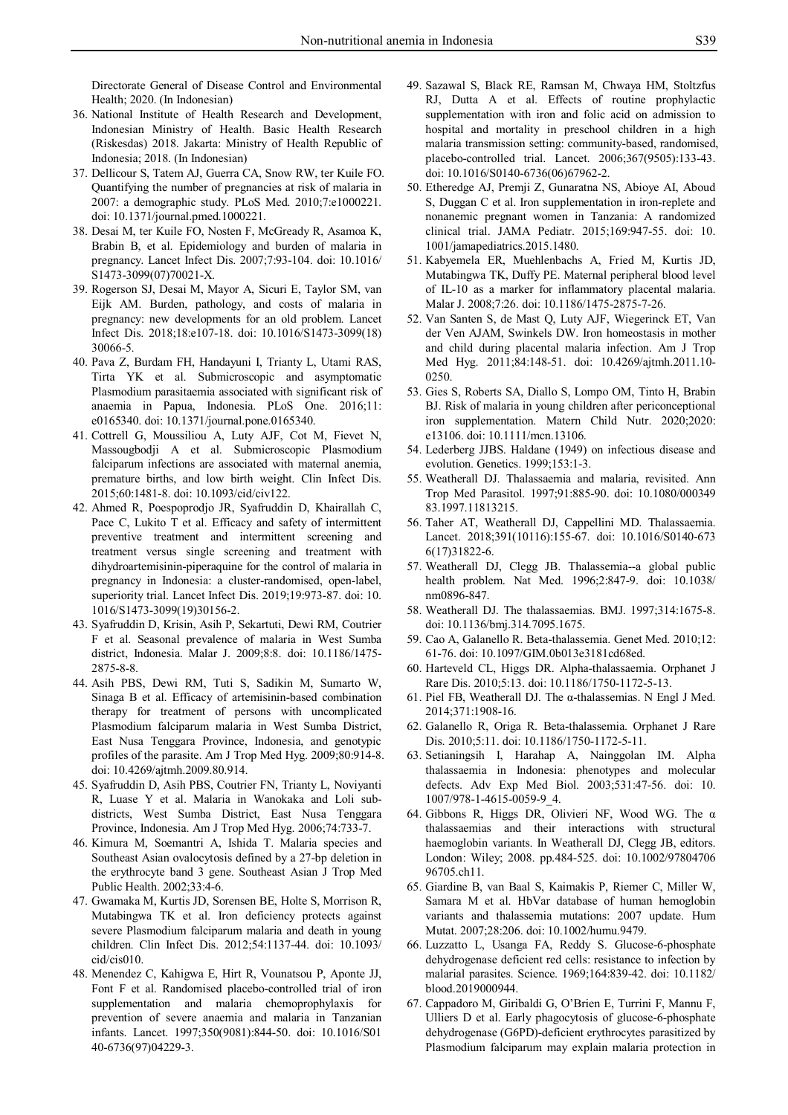Directorate General of Disease Control and Environmental Health; 2020. (In Indonesian)

- 36. National Institute of Health Research and Development, Indonesian Ministry of Health. Basic Health Research (Riskesdas) 2018. Jakarta: Ministry of Health Republic of Indonesia; 2018. (In Indonesian)
- 37. Dellicour S, Tatem AJ, Guerra CA, Snow RW, ter Kuile FO. Quantifying the number of pregnancies at risk of malaria in 2007: a demographic study. PLoS Med. 2010;7:e1000221. doi: 10.1371/journal.pmed.1000221.
- 38. Desai M, ter Kuile FO, Nosten F, McGready R, Asamoa K, Brabin B, et al. Epidemiology and burden of malaria in pregnancy. Lancet Infect Dis. 2007;7:93-104. doi: 10.1016/ S1473-3099(07)70021-X.
- 39. Rogerson SJ, Desai M, Mayor A, Sicuri E, Taylor SM, van Eijk AM. Burden, pathology, and costs of malaria in pregnancy: new developments for an old problem. Lancet Infect Dis. 2018;18:e107-18. doi: 10.1016/S1473-3099(18) 30066-5.
- 40. Pava Z, Burdam FH, Handayuni I, Trianty L, Utami RAS, Tirta YK et al. Submicroscopic and asymptomatic Plasmodium parasitaemia associated with significant risk of anaemia in Papua, Indonesia. PLoS One. 2016;11: e0165340. doi: 10.1371/journal.pone.0165340.
- 41. Cottrell G, Moussiliou A, Luty AJF, Cot M, Fievet N, Massougbodji A et al. Submicroscopic Plasmodium falciparum infections are associated with maternal anemia, premature births, and low birth weight. Clin Infect Dis. 2015;60:1481-8. doi: 10.1093/cid/civ122.
- 42. Ahmed R, Poespoprodjo JR, Syafruddin D, Khairallah C, Pace C, Lukito T et al. Efficacy and safety of intermittent preventive treatment and intermittent screening and treatment versus single screening and treatment with dihydroartemisinin-piperaquine for the control of malaria in pregnancy in Indonesia: a cluster-randomised, open-label, superiority trial. Lancet Infect Dis. 2019;19:973-87. doi: 10. 1016/S1473-3099(19)30156-2.
- 43. Syafruddin D, Krisin, Asih P, Sekartuti, Dewi RM, Coutrier F et al. Seasonal prevalence of malaria in West Sumba district, Indonesia. Malar J. 2009;8:8. doi: 10.1186/1475- 2875-8-8.
- 44. Asih PBS, Dewi RM, Tuti S, Sadikin M, Sumarto W, Sinaga B et al. Efficacy of artemisinin-based combination therapy for treatment of persons with uncomplicated Plasmodium falciparum malaria in West Sumba District, East Nusa Tenggara Province, Indonesia, and genotypic profiles of the parasite. Am J Trop Med Hyg. 2009;80:914-8. doi: 10.4269/ajtmh.2009.80.914.
- 45. Syafruddin D, Asih PBS, Coutrier FN, Trianty L, Noviyanti R, Luase Y et al. Malaria in Wanokaka and Loli subdistricts, West Sumba District, East Nusa Tenggara Province, Indonesia. Am J Trop Med Hyg. 2006;74:733-7.
- 46. Kimura M, Soemantri A, Ishida T. Malaria species and Southeast Asian ovalocytosis defined by a 27-bp deletion in the erythrocyte band 3 gene. Southeast Asian J Trop Med Public Health. 2002;33:4-6.
- 47. Gwamaka M, Kurtis JD, Sorensen BE, Holte S, Morrison R, Mutabingwa TK et al. Iron deficiency protects against severe Plasmodium falciparum malaria and death in young children. Clin Infect Dis. 2012;54:1137-44. doi: 10.1093/ cid/cis010.
- 48. Menendez C, Kahigwa E, Hirt R, Vounatsou P, Aponte JJ, Font F et al. Randomised placebo-controlled trial of iron supplementation and malaria chemoprophylaxis for prevention of severe anaemia and malaria in Tanzanian infants. Lancet. 1997;350(9081):844-50. doi: 10.1016/S01 40-6736(97)04229-3.
- 49. Sazawal S, Black RE, Ramsan M, Chwaya HM, Stoltzfus RJ, Dutta A et al. Effects of routine prophylactic supplementation with iron and folic acid on admission to hospital and mortality in preschool children in a high malaria transmission setting: community-based, randomised, placebo-controlled trial. Lancet. 2006;367(9505):133-43. doi: 10.1016/S0140-6736(06)67962-2.
- 50. Etheredge AJ, Premji Z, Gunaratna NS, Abioye AI, Aboud S, Duggan C et al. Iron supplementation in iron-replete and nonanemic pregnant women in Tanzania: A randomized clinical trial. JAMA Pediatr. 2015;169:947-55. doi: 10. 1001/jamapediatrics.2015.1480.
- 51. Kabyemela ER, Muehlenbachs A, Fried M, Kurtis JD, Mutabingwa TK, Duffy PE. Maternal peripheral blood level of IL-10 as a marker for inflammatory placental malaria. Malar J. 2008;7:26. doi: 10.1186/1475-2875-7-26.
- 52. Van Santen S, de Mast Q, Luty AJF, Wiegerinck ET, Van der Ven AJAM, Swinkels DW. Iron homeostasis in mother and child during placental malaria infection. Am J Trop Med Hyg. 2011;84:148-51. doi: 10.4269/ajtmh.2011.10- 0250.
- 53. Gies S, Roberts SA, Diallo S, Lompo OM, Tinto H, Brabin BJ. Risk of malaria in young children after periconceptional iron supplementation. Matern Child Nutr. 2020;2020: e13106. doi: 10.1111/mcn.13106.
- 54. Lederberg JJBS. Haldane (1949) on infectious disease and evolution. Genetics. 1999;153:1-3.
- 55. Weatherall DJ. Thalassaemia and malaria, revisited. Ann Trop Med Parasitol. 1997;91:885-90. doi: 10.1080/000349 83.1997.11813215.
- 56. Taher AT, Weatherall DJ, Cappellini MD. Thalassaemia. Lancet. 2018;391(10116):155-67. doi: 10.1016/S0140-673 6(17)31822-6.
- 57. Weatherall DJ, Clegg JB. Thalassemia--a global public health problem. Nat Med. 1996;2:847-9. doi: 10.1038/ nm0896-847.
- 58. Weatherall DJ. The thalassaemias. BMJ. 1997;314:1675-8. doi: 10.1136/bmj.314.7095.1675.
- 59. Cao A, Galanello R. Beta-thalassemia. Genet Med. 2010;12: 61-76. doi: 10.1097/GIM.0b013e3181cd68ed.
- 60. Harteveld CL, Higgs DR. Alpha-thalassaemia. Orphanet J Rare Dis. 2010;5:13. doi: 10.1186/1750-1172-5-13.
- 61. Piel FB, Weatherall DJ. The α-thalassemias. N Engl J Med. 2014;371:1908-16.
- 62. Galanello R, Origa R. Beta-thalassemia. Orphanet J Rare Dis. 2010;5:11. doi: 10.1186/1750-1172-5-11.
- 63. Setianingsih I, Harahap A, Nainggolan IM. Alpha thalassaemia in Indonesia: phenotypes and molecular defects. Adv Exp Med Biol. 2003;531:47-56. doi: 10. 1007/978-1-4615-0059-9\_4.
- 64. Gibbons R, Higgs DR, Olivieri NF, Wood WG. The α thalassaemias and their interactions with structural haemoglobin variants. In Weatherall DJ, Clegg JB, editors. London: Wiley; 2008. pp.484-525. doi: 10.1002/97804706 96705.ch11.
- 65. Giardine B, van Baal S, Kaimakis P, Riemer C, Miller W, Samara M et al. HbVar database of human hemoglobin variants and thalassemia mutations: 2007 update. Hum Mutat. 2007;28:206. doi: 10.1002/humu.9479.
- 66. Luzzatto L, Usanga FA, Reddy S. Glucose-6-phosphate dehydrogenase deficient red cells: resistance to infection by malarial parasites. Science. 1969;164:839-42. doi: 10.1182/ blood.2019000944.
- 67. Cappadoro M, Giribaldi G, O'Brien E, Turrini F, Mannu F, Ulliers D et al. Early phagocytosis of glucose-6-phosphate dehydrogenase (G6PD)-deficient erythrocytes parasitized by Plasmodium falciparum may explain malaria protection in